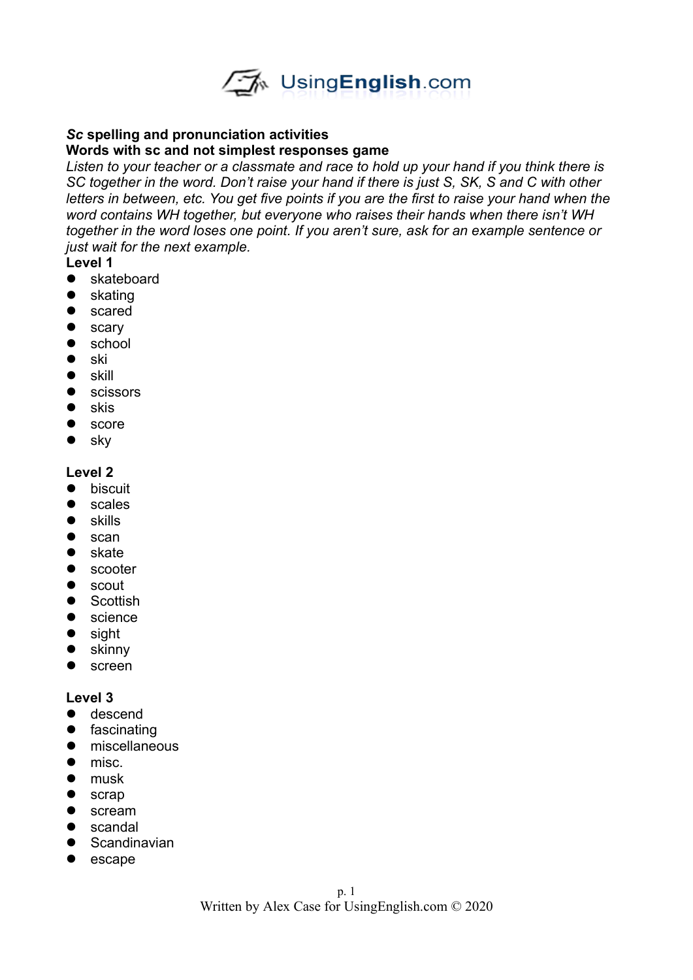

## *Sc* **spelling and pronunciation activities**

#### **Words with sc and not simplest responses game**

*Listen to your teacher or a classmate and race to hold up your hand if you think there is SC together in the word. Don't raise your hand if there is just S, SK, S and C with other letters in between, etc. You get five points if you are the first to raise your hand when the word contains WH together, but everyone who raises their hands when there isn't WH together in the word loses one point. If you aren't sure, ask for an example sentence or just wait for the next example.* 

### **Level 1**

- skateboard
- skating
- scared
- **•** scary
- school
- $\bullet$  ski
- $\bullet$  skill
- **•** scissors
- $\bullet$  skis
- score
- sky

#### **Level 2**

- **•** biscuit
- **•** scales
- **•** skills
- $\bullet$  scan
- skate
- scooter
- **•** scout
- Scottish
- **•** science
- sight
- skinny
- screen

- $\bullet$  descend
- **•** fascinating
- **•** miscellaneous
- $\bullet$  misc.
- musk
- scrap
- scream
- **•** scandal
- **•** Scandinavian
- escape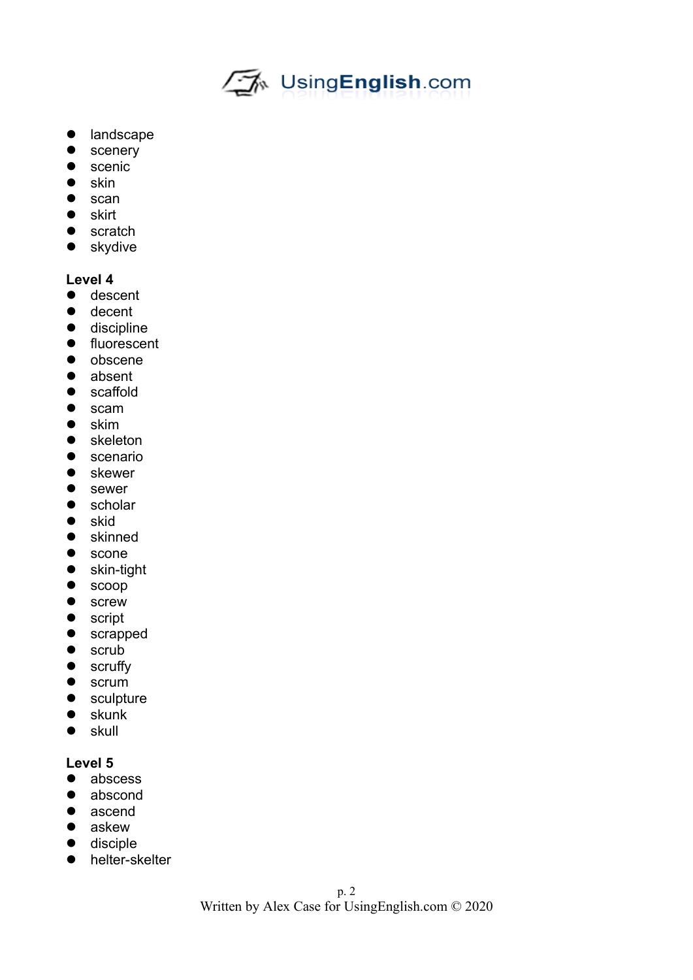

- landscape
- **•** scenery
- **•** scenic
- $\bullet$  skin
- $\bullet$  scan
- $\bullet$  skirt
- scratch
- skydive

# **Level 4**

- **•** descent
- decent
- **·** discipline
- **•** fluorescent
- obscene
- absent
- scaffold
- scam
- skim
- skeleton
- **•** scenario
- skewer
- sewer
- scholar
- $\bullet$  skid
- skinned
- scone
- skin-tight
- scoop
- **•** screw
- **•** script
- scrapped
- scrub
- **•** scruffy
- scrum
- sculpture
- skunk
- skull

- abscess
- abscond
- ascend
- askew
- $\bullet$  disciple
- helter-skelter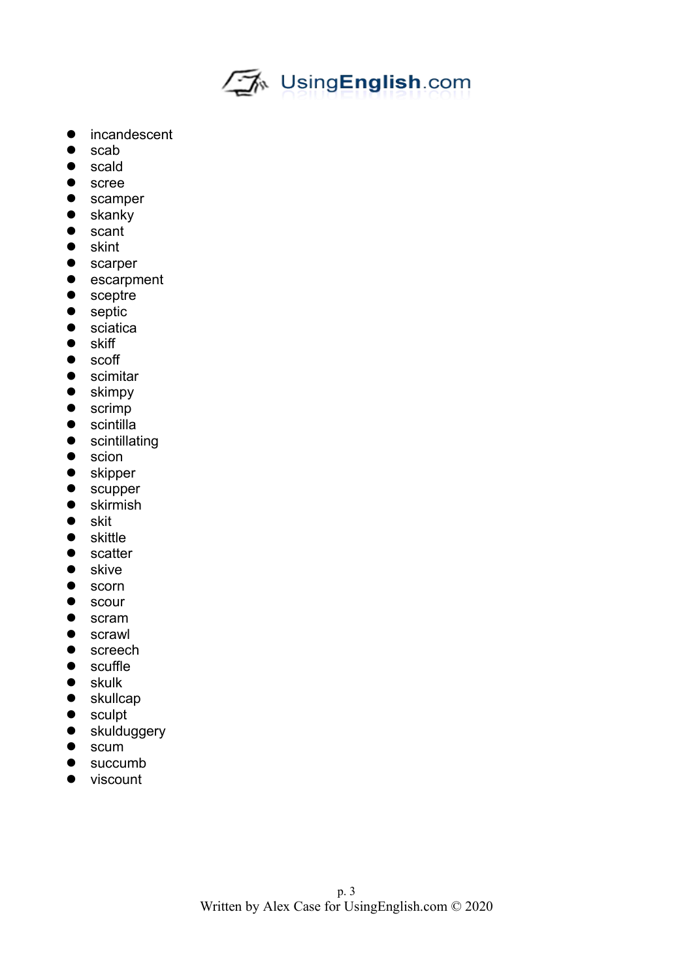

- incandescent
- scab
- scald
- **•** scree
- **•** scamper
- skanky
- scant
- skint
- **•** scarper
- escarpment
- sceptre
- septic
- **•** sciatica
- $\bullet$  skiff
- scoff
- **•** scimitar
- skimpy
- scrimp
- **•** scintilla
- **•** scintillating
- scion
- **•** skipper
- scupper
- **•** skirmish
- skit
- skittle
- scatter
- skive
- scorn
- **•** scour
- scram
- **•** scrawl
- **•** screech
- scuffle
- skulk
- skullcap
- sculpt
- skulduggery
- $\bullet$  scum
- succumb
- viscount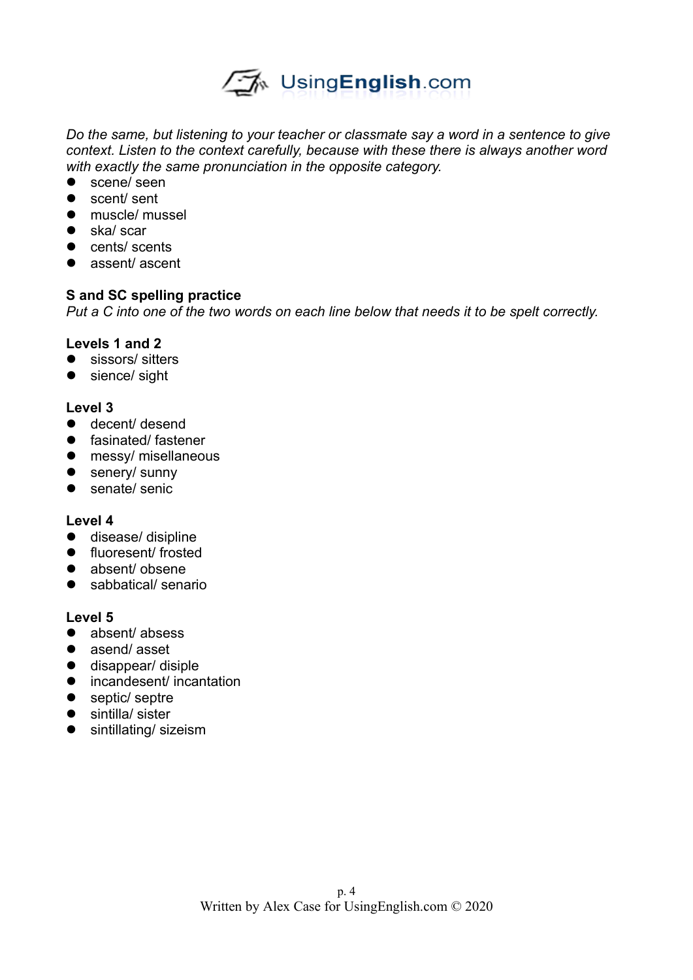

*Do the same, but listening to your teacher or classmate say a word in a sentence to give context. Listen to the context carefully, because with these there is always another word with exactly the same pronunciation in the opposite category.* 

- scene/ seen
- scent/ sent
- **•** muscle/ mussel
- ska/ scar
- cents/ scents
- assent/ ascent

# **S and SC spelling practice**

*Put a C into one of the two words on each line below that needs it to be spelt correctly.*

### **Levels 1 and 2**

- sissors/ sitters
- sience/ sight

### **Level 3**

- decent/ desend
- **•** fasinated/ fastener
- messy/ misellaneous
- senery/ sunny
- senate/ senic

### **Level 4**

- $\bullet$  disease/ disipline
- **•** fluoresent/ frosted
- absent/ obsene
- sabbatical/ senario

- absent/ absess
- asend/asset
- $\bullet$  disappear/ disiple
- incandesent/ incantation
- septic/ septre
- sintilla/ sister
- **•** sintillating/ sizeism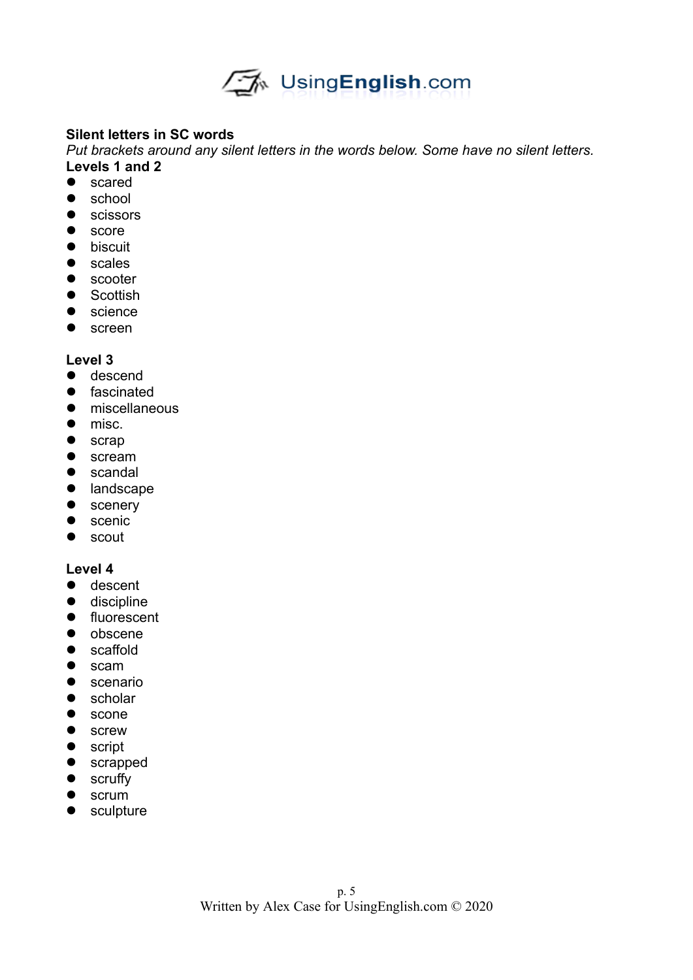

# **Silent letters in SC words**

*Put brackets around any silent letters in the words below. Some have no silent letters.*  **Levels 1 and 2**

- scared
- school
- **•** scissors
- score
- **•** biscuit
- scales
- **•** scooter
- Scottish
- **•** science
- screen

### **Level 3**

- **o** descend
- **•** fascinated
- **•** miscellaneous
- misc.
- scrap
- scream
- **•** scandal
- landscape
- scenery
- **•** scenic
- scout

- **o** descent
- **·** discipline
- **•** fluorescent
- $\bullet$  obscene
- scaffold
- scam
- **•** scenario
- **•** scholar
- scone
- screw
- **•** script
- scrapped
- scruffy
- scrum
- sculpture